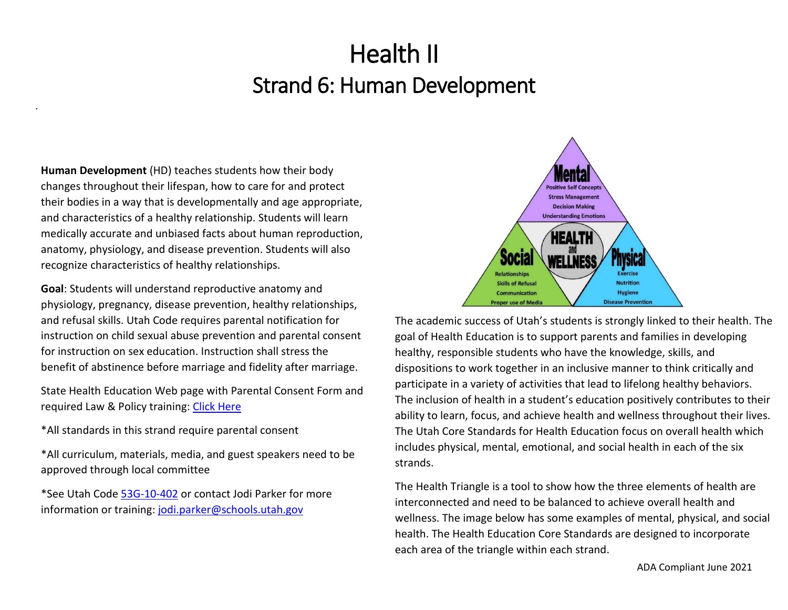**Human Development** (HD) teaches students how their body changes throughout their lifespan, how to care for and protect their bodies in a way that is developmentally and age appropriate, and characteristics of a healthy relationship. Students will learn medically accurate and unbiased facts about human reproduction, anatomy, physiology, and disease prevention. Students will also recognize characteristics of healthy relationships.

*.*

**Goal**: Students will understand reproductive anatomy and physiology, pregnancy, disease prevention, healthy relationships, and refusal skills. Utah Code requires parental notification for instruction on child sexual abuse prevention and parental consent for instruction on sex education. Instruction shall stress the benefit of abstinence before marriage and fidelity after marriage.

State Health Education Web page with Parental Consent Form and required Law & Policy training[: Click Here](https://schools.utah.gov/curr/health?mid=908&tid=5)

\*All standards in this strand require parental consent

\*All curriculum, materials, media, and guest speakers need to be approved through local committee

\*See Utah Code [53G-10-402](https://le.utah.gov/xcode/Title53G/Chapter10/53G-10-S402.html) or contact Jodi Parker for more information or training: jodi.parker@schools.utah.gov



The academic success of Utah's students is strongly linked to their health. The goal of Health Education is to support parents and families in developing healthy, responsible students who have the knowledge, skills, and dispositions to work together in an inclusive manner to think critically and participate in a variety of activities that lead to lifelong healthy behaviors. The inclusion of health in a student's education positively contributes to their ability to learn, focus, and achieve health and wellness throughout their lives. The Utah Core Standards for Health Education focus on overall health which includes physical, mental, emotional, and social health in each of the six strands.

The Health Triangle is a tool to show how the three elements of health are interconnected and need to be balanced to achieve overall health and wellness. The image below has some examples of mental, physical, and social health. The Health Education Core Standards are designed to incorporate each area of the triangle within each strand.

ADA Compliant June 2021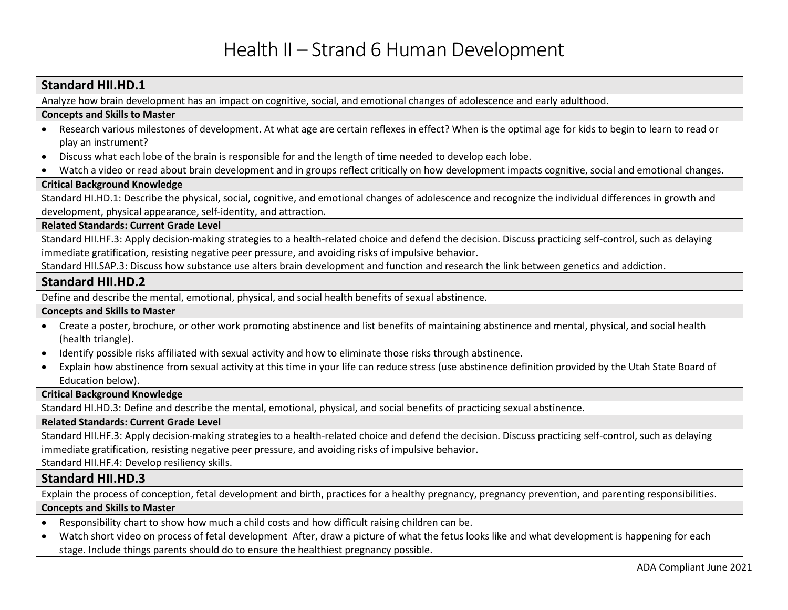| <b>Standard HII.HD.1</b>                                                                                                                                                |
|-------------------------------------------------------------------------------------------------------------------------------------------------------------------------|
| Analyze how brain development has an impact on cognitive, social, and emotional changes of adolescence and early adulthood.                                             |
| <b>Concepts and Skills to Master</b>                                                                                                                                    |
| Research various milestones of development. At what age are certain reflexes in effect? When is the optimal age for kids to begin to learn to read or                   |
| play an instrument?                                                                                                                                                     |
| Discuss what each lobe of the brain is responsible for and the length of time needed to develop each lobe.                                                              |
| Watch a video or read about brain development and in groups reflect critically on how development impacts cognitive, social and emotional changes.                      |
| <b>Critical Background Knowledge</b>                                                                                                                                    |
| Standard HI.HD.1: Describe the physical, social, cognitive, and emotional changes of adolescence and recognize the individual differences in growth and                 |
| development, physical appearance, self-identity, and attraction.                                                                                                        |
| <b>Related Standards: Current Grade Level</b>                                                                                                                           |
| Standard HII.HF.3: Apply decision-making strategies to a health-related choice and defend the decision. Discuss practicing self-control, such as delaying               |
| immediate gratification, resisting negative peer pressure, and avoiding risks of impulsive behavior.                                                                    |
| Standard HII.SAP.3: Discuss how substance use alters brain development and function and research the link between genetics and addiction.                               |
| <b>Standard HII.HD.2</b>                                                                                                                                                |
| Define and describe the mental, emotional, physical, and social health benefits of sexual abstinence.                                                                   |
| <b>Concepts and Skills to Master</b>                                                                                                                                    |
| Create a poster, brochure, or other work promoting abstinence and list benefits of maintaining abstinence and mental, physical, and social health<br>(health triangle). |
| Identify possible risks affiliated with sexual activity and how to eliminate those risks through abstinence.<br>$\bullet$                                               |
| Explain how abstinence from sexual activity at this time in your life can reduce stress (use abstinence definition provided by the Utah State Board of<br>$\bullet$     |
| Education below).                                                                                                                                                       |
| <b>Critical Background Knowledge</b>                                                                                                                                    |
| Standard HI.HD.3: Define and describe the mental, emotional, physical, and social benefits of practicing sexual abstinence.                                             |
| <b>Related Standards: Current Grade Level</b>                                                                                                                           |
| Standard HII.HF.3: Apply decision-making strategies to a health-related choice and defend the decision. Discuss practicing self-control, such as delaying               |
| immediate gratification, resisting negative peer pressure, and avoiding risks of impulsive behavior.                                                                    |
| Standard HII.HF.4: Develop resiliency skills.                                                                                                                           |
| <b>Standard HII.HD.3</b>                                                                                                                                                |
| Explain the process of conception, fetal development and birth, practices for a healthy pregnancy, pregnancy prevention, and parenting responsibilities.                |
| <b>Concepts and Skills to Master</b>                                                                                                                                    |
| Responsibility chart to show how much a child costs and how difficult raising children can be.<br>$\bullet$                                                             |
| Watch short video on process of fetal development After, draw a picture of what the fetus looks like and what development is happening for each                         |
| stage. Include things parents should do to ensure the healthiest pregnancy possible.                                                                                    |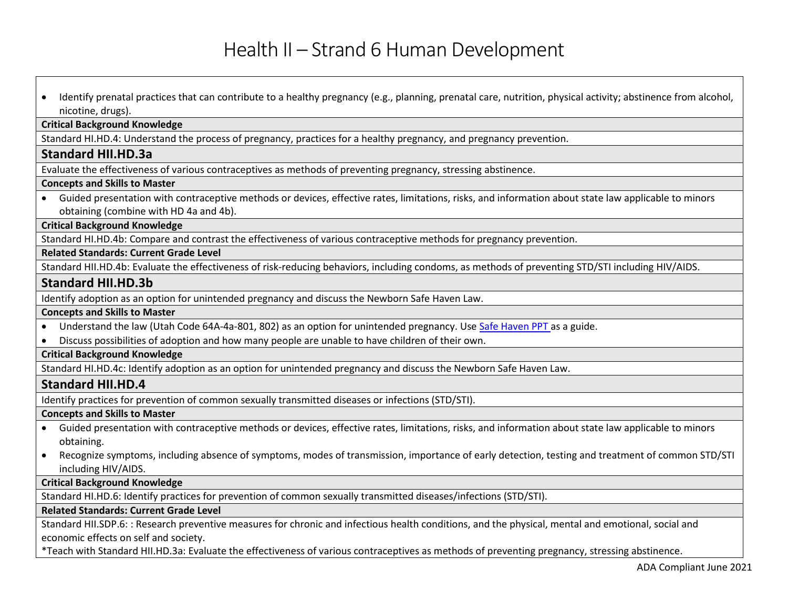• Identify prenatal practices that can contribute to a healthy pregnancy (e.g., planning, prenatal care, nutrition, physical activity; abstinence from alcohol, nicotine, drugs).

#### **Critical Background Knowledge**

Standard HI.HD.4: Understand the process of pregnancy, practices for a healthy pregnancy, and pregnancy prevention.

#### **Standard HII.HD.3a**

Evaluate the effectiveness of various contraceptives as methods of preventing pregnancy, stressing abstinence.

#### **Concepts and Skills to Master**

• Guided presentation with contraceptive methods or devices, effective rates, limitations, risks, and information about state law applicable to minors obtaining (combine with HD 4a and 4b).

#### **Critical Background Knowledge**

Standard HI.HD.4b: Compare and contrast the effectiveness of various contraceptive methods for pregnancy prevention.

#### **Related Standards: Current Grade Level**

Standard HII.HD.4b: Evaluate the effectiveness of risk-reducing behaviors, including condoms, as methods of preventing STD/STI including HIV/AIDS.

### **Standard HII.HD.3b**

Identify adoption as an option for unintended pregnancy and discuss the Newborn Safe Haven Law.

#### **Concepts and Skills to Master**

- Understand the law (Utah Code 64A-4a-801, 802) as an option for unintended pregnancy. Us[e Safe Haven PPT](http://utahsafehaven.org/resources.html) as a guide.
- Discuss possibilities of adoption and how many people are unable to have children of their own.

#### **Critical Background Knowledge**

Standard HI.HD.4c: Identify adoption as an option for unintended pregnancy and discuss the Newborn Safe Haven Law.

### **Standard HII.HD.4**

Identify practices for prevention of common sexually transmitted diseases or infections (STD/STI).

#### **Concepts and Skills to Master**

- Guided presentation with contraceptive methods or devices, effective rates, limitations, risks, and information about state law applicable to minors obtaining.
- Recognize symptoms, including absence of symptoms, modes of transmission, importance of early detection, testing and treatment of common STD/STI including HIV/AIDS.

#### **Critical Background Knowledge**

Standard HI.HD.6: Identify practices for prevention of common sexually transmitted diseases/infections (STD/STI).

#### **Related Standards: Current Grade Level**

Standard HII.SDP.6: : Research preventive measures for chronic and infectious health conditions, and the physical, mental and emotional, social and economic effects on self and society.

\*Teach with Standard HII.HD.3a: Evaluate the effectiveness of various contraceptives as methods of preventing pregnancy, stressing abstinence.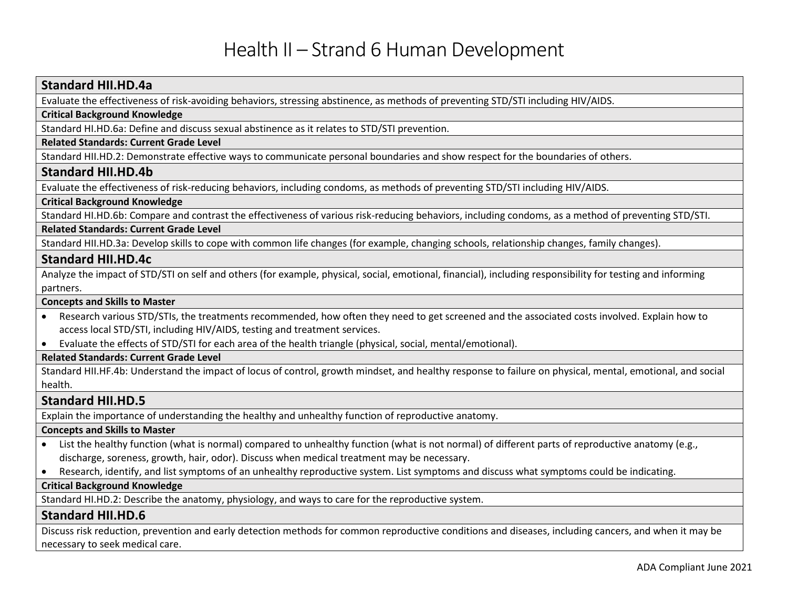## **Standard HII.HD.4a**

Evaluate the effectiveness of risk-avoiding behaviors, stressing abstinence, as methods of preventing STD/STI including HIV/AIDS.

#### **Critical Background Knowledge**

Standard HI.HD.6a: Define and discuss sexual abstinence as it relates to STD/STI prevention.

#### **Related Standards: Current Grade Level**

Standard HII.HD.2: Demonstrate effective ways to communicate personal boundaries and show respect for the boundaries of others.

#### **Standard HII.HD.4b**

Evaluate the effectiveness of risk-reducing behaviors, including condoms, as methods of preventing STD/STI including HIV/AIDS.

#### **Critical Background Knowledge**

Standard HI.HD.6b: Compare and contrast the effectiveness of various risk-reducing behaviors, including condoms, as a method of preventing STD/STI.

#### **Related Standards: Current Grade Level**

Standard HII.HD.3a: Develop skills to cope with common life changes (for example, changing schools, relationship changes, family changes).

#### **Standard HII.HD.4c**

Analyze the impact of STD/STI on self and others (for example, physical, social, emotional, financial), including responsibility for testing and informing partners.

#### **Concepts and Skills to Master**

- Research various STD/STIs, the treatments recommended, how often they need to get screened and the associated costs involved. Explain how to access local STD/STI, including HIV/AIDS, testing and treatment services.
- Evaluate the effects of STD/STI for each area of the health triangle (physical, social, mental/emotional).

#### **Related Standards: Current Grade Level**

Standard HII.HF.4b: Understand the impact of locus of control, growth mindset, and healthy response to failure on physical, mental, emotional, and social health.

### **Standard HII.HD.5**

Explain the importance of understanding the healthy and unhealthy function of reproductive anatomy.

#### **Concepts and Skills to Master**

- List the healthy function (what is normal) compared to unhealthy function (what is not normal) of different parts of reproductive anatomy (e.g., discharge, soreness, growth, hair, odor). Discuss when medical treatment may be necessary.
- Research, identify, and list symptoms of an unhealthy reproductive system. List symptoms and discuss what symptoms could be indicating.

#### **Critical Background Knowledge**

Standard HI.HD.2: Describe the anatomy, physiology, and ways to care for the reproductive system.

#### **Standard HII.HD.6**

Discuss risk reduction, prevention and early detection methods for common reproductive conditions and diseases, including cancers, and when it may be necessary to seek medical care.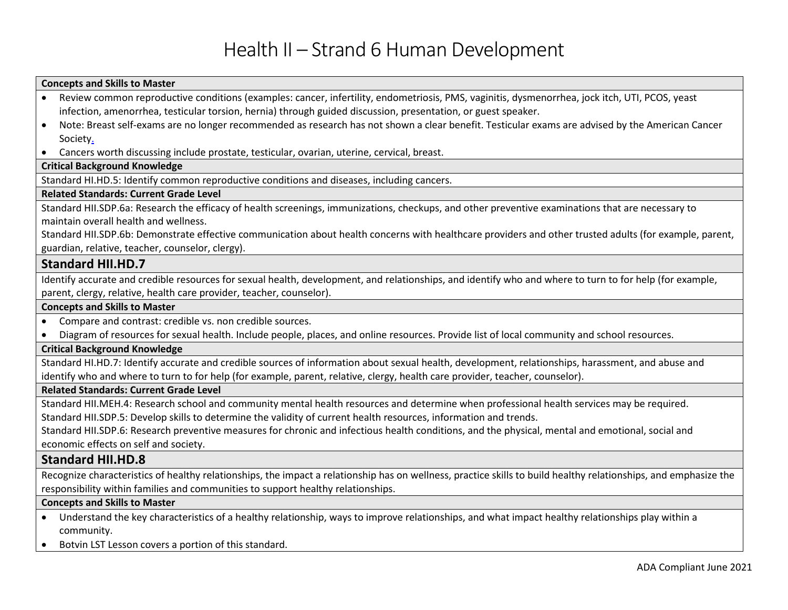# **Concepts and Skills to Master**

| Review common reproductive conditions (examples: cancer, infertility, endometriosis, PMS, vaginitis, dysmenorrhea, jock itch, UTI, PCOS, yeast                   |
|------------------------------------------------------------------------------------------------------------------------------------------------------------------|
| infection, amenorrhea, testicular torsion, hernia) through guided discussion, presentation, or guest speaker.                                                    |
| Note: Breast self-exams are no longer recommended as research has not shown a clear benefit. Testicular exams are advised by the American Cancer<br>$\bullet$    |
| Society.                                                                                                                                                         |
| Cancers worth discussing include prostate, testicular, ovarian, uterine, cervical, breast.<br>$\bullet$                                                          |
| <b>Critical Background Knowledge</b>                                                                                                                             |
| Standard HI.HD.5: Identify common reproductive conditions and diseases, including cancers.                                                                       |
| <b>Related Standards: Current Grade Level</b>                                                                                                                    |
| Standard HII.SDP.6a: Research the efficacy of health screenings, immunizations, checkups, and other preventive examinations that are necessary to                |
| maintain overall health and wellness.                                                                                                                            |
| Standard HII.SDP.6b: Demonstrate effective communication about health concerns with healthcare providers and other trusted adults (for example, parent,          |
| guardian, relative, teacher, counselor, clergy).                                                                                                                 |
| <b>Standard HII.HD.7</b>                                                                                                                                         |
| Identify accurate and credible resources for sexual health, development, and relationships, and identify who and where to turn to for help (for example,         |
| parent, clergy, relative, health care provider, teacher, counselor).                                                                                             |
| <b>Concepts and Skills to Master</b>                                                                                                                             |
| Compare and contrast: credible vs. non credible sources.<br>$\bullet$                                                                                            |
| Diagram of resources for sexual health. Include people, places, and online resources. Provide list of local community and school resources.                      |
| <b>Critical Background Knowledge</b>                                                                                                                             |
| Standard HI.HD.7: Identify accurate and credible sources of information about sexual health, development, relationships, harassment, and abuse and               |
| identify who and where to turn to for help (for example, parent, relative, clergy, health care provider, teacher, counselor).                                    |
| <b>Related Standards: Current Grade Level</b>                                                                                                                    |
| Standard HII.MEH.4: Research school and community mental health resources and determine when professional health services may be required.                       |
| Standard HII.SDP.5: Develop skills to determine the validity of current health resources, information and trends.                                                |
| Standard HII.SDP.6: Research preventive measures for chronic and infectious health conditions, and the physical, mental and emotional, social and                |
| economic effects on self and society.                                                                                                                            |
| <b>Standard HII.HD.8</b>                                                                                                                                         |
| Recognize characteristics of healthy relationships, the impact a relationship has on wellness, practice skills to build healthy relationships, and emphasize the |
| responsibility within families and communities to support healthy relationships.                                                                                 |
| <b>Concepts and Skills to Master</b>                                                                                                                             |
| Understand the key characteristics of a healthy relationship, ways to improve relationships, and what impact healthy relationships play within a                 |
| community.                                                                                                                                                       |

• Botvin LST Lesson covers a portion of this standard.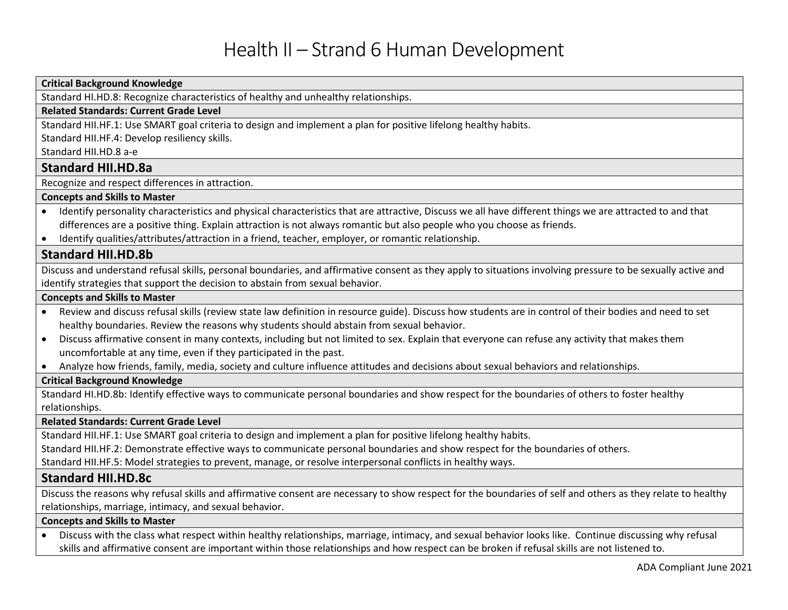#### **Critical Background Knowledge**

Standard HI.HD.8: Recognize characteristics of healthy and unhealthy relationships.

#### **Related Standards: Current Grade Level**

Standard HII.HF.1: Use SMART goal criteria to design and implement a plan for positive lifelong healthy habits.

Standard HII.HF.4: Develop resiliency skills.

Standard HII.HD.8 a-e

# **Standard HII.HD.8a**

Recognize and respect differences in attraction.

### **Concepts and Skills to Master**

- Identify personality characteristics and physical characteristics that are attractive, Discuss we all have different things we are attracted to and that differences are a positive thing. Explain attraction is not always romantic but also people who you choose as friends.
- Identify qualities/attributes/attraction in a friend, teacher, employer, or romantic relationship.

# **Standard HII.HD.8b**

Discuss and understand refusal skills, personal boundaries, and affirmative consent as they apply to situations involving pressure to be sexually active and identify strategies that support the decision to abstain from sexual behavior.

#### **Concepts and Skills to Master**

- Review and discuss refusal skills (review state law definition in resource guide). Discuss how students are in control of their bodies and need to set healthy boundaries. Review the reasons why students should abstain from sexual behavior.
- Discuss affirmative consent in many contexts, including but not limited to sex. Explain that everyone can refuse any activity that makes them uncomfortable at any time, even if they participated in the past.
- Analyze how friends, family, media, society and culture influence attitudes and decisions about sexual behaviors and relationships.

#### **Critical Background Knowledge**

Standard HI.HD.8b: Identify effective ways to communicate personal boundaries and show respect for the boundaries of others to foster healthy relationships.

#### **Related Standards: Current Grade Level**

Standard HII.HF.1: Use SMART goal criteria to design and implement a plan for positive lifelong healthy habits.

Standard HII.HF.2: Demonstrate effective ways to communicate personal boundaries and show respect for the boundaries of others.

Standard HII.HF.5: Model strategies to prevent, manage, or resolve interpersonal conflicts in healthy ways.

### **Standard HII.HD.8c**

Discuss the reasons why refusal skills and affirmative consent are necessary to show respect for the boundaries of self and others as they relate to healthy relationships, marriage, intimacy, and sexual behavior.

#### **Concepts and Skills to Master**

• Discuss with the class what respect within healthy relationships, marriage, intimacy, and sexual behavior looks like. Continue discussing why refusal skills and affirmative consent are important within those relationships and how respect can be broken if refusal skills are not listened to.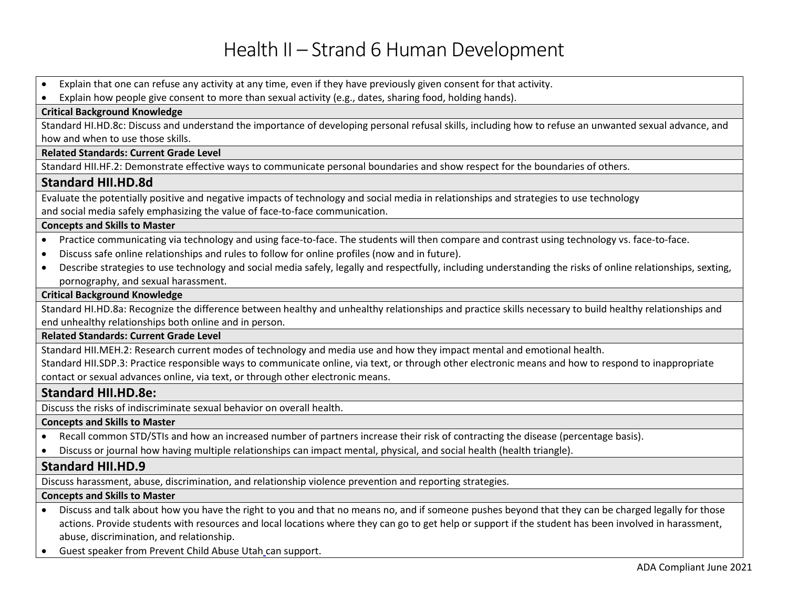• Explain that one can refuse any activity at any time, even if they have previously given consent for that activity.

• Explain how people give consent to more than sexual activity (e.g., dates, sharing food, holding hands).

### **Critical Background Knowledge**

Standard HI.HD.8c: Discuss and understand the importance of developing personal refusal skills, including how to refuse an unwanted sexual advance, and how and when to use those skills.

#### **Related Standards: Current Grade Level**

Standard HII.HF.2: Demonstrate effective ways to communicate personal boundaries and show respect for the boundaries of others.

# **Standard HII.HD.8d**

Evaluate the potentially positive and negative impacts of technology and social media in relationships and strategies to use technology and social media safely emphasizing the value of face-to-face communication.

#### **Concepts and Skills to Master**

- Practice communicating via technology and using face-to-face. The students will then compare and contrast using technology vs. face-to-face.
- Discuss safe online relationships and rules to follow for online profiles (now and in future).
- Describe strategies to use technology and social media safely, legally and respectfully, including understanding the risks of online relationships, sexting, pornography, and sexual harassment.

#### **Critical Background Knowledge**

Standard HI.HD.8a: Recognize the difference between healthy and unhealthy relationships and practice skills necessary to build healthy relationships and end unhealthy relationships both online and in person.

#### **Related Standards: Current Grade Level**

Standard HII.MEH.2: Research current modes of technology and media use and how they impact mental and emotional health.

Standard HII.SDP.3: Practice responsible ways to communicate online, via text, or through other electronic means and how to respond to inappropriate contact or sexual advances online, via text, or through other electronic means.

### **Standard HII.HD.8e:**

Discuss the risks of indiscriminate sexual behavior on overall health.

#### **Concepts and Skills to Master**

- Recall common STD/STIs and how an increased number of partners increase their risk of contracting the disease (percentage basis).
- Discuss or journal how having multiple relationships can impact mental, physical, and social health (health triangle).

# **Standard HII.HD.9**

Discuss harassment, abuse, discrimination, and relationship violence prevention and reporting strategies.

#### **Concepts and Skills to Master**

- Discuss and talk about how you have the right to you and that no means no, and if someone pushes beyond that they can be charged legally for those actions. Provide students with resources and local locations where they can go to get help or support if the student has been involved in harassment, abuse, discrimination, and relationship.
- Guest speaker from Prevent Child Abuse Utah can support.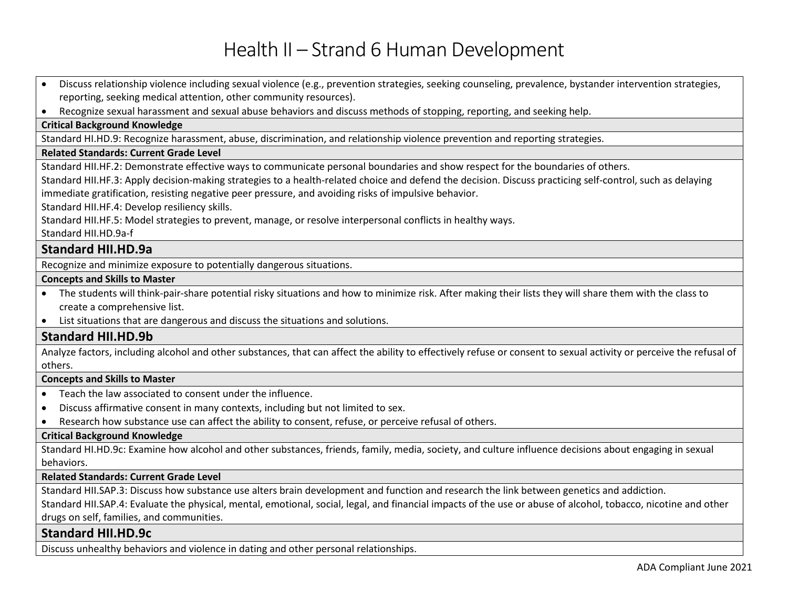- Discuss relationship violence including sexual violence (e.g., prevention strategies, seeking counseling, prevalence, bystander intervention strategies, reporting, seeking medical attention, other community resources).
- Recognize sexual harassment and sexual abuse behaviors and discuss methods of stopping, reporting, and seeking help.

#### **Critical Background Knowledge**

Standard HI.HD.9: Recognize harassment, abuse, discrimination, and relationship violence prevention and reporting strategies.

#### **Related Standards: Current Grade Level**

Standard HII.HF.2: Demonstrate effective ways to communicate personal boundaries and show respect for the boundaries of others.

Standard HII.HF.3: Apply decision-making strategies to a health-related choice and defend the decision. Discuss practicing self-control, such as delaying immediate gratification, resisting negative peer pressure, and avoiding risks of impulsive behavior.

Standard HII.HF.4: Develop resiliency skills.

Standard HII.HF.5: Model strategies to prevent, manage, or resolve interpersonal conflicts in healthy ways.

# Standard HII.HD.9a-f

## **Standard HII.HD.9a**

Recognize and minimize exposure to potentially dangerous situations.

#### **Concepts and Skills to Master**

- The students will think-pair-share potential risky situations and how to minimize risk. After making their lists they will share them with the class to create a comprehensive list.
- List situations that are dangerous and discuss the situations and solutions.

### **Standard HII.HD.9b**

Analyze factors, including alcohol and other substances, that can affect the ability to effectively refuse or consent to sexual activity or perceive the refusal of others.

#### **Concepts and Skills to Master**

- Teach the law associated to consent under the influence.
- Discuss affirmative consent in many contexts, including but not limited to sex.
- Research how substance use can affect the ability to consent, refuse, or perceive refusal of others.

#### **Critical Background Knowledge**

Standard HI.HD.9c: Examine how alcohol and other substances, friends, family, media, society, and culture influence decisions about engaging in sexual behaviors.

#### **Related Standards: Current Grade Level**

Standard HII.SAP.3: Discuss how substance use alters brain development and function and research the link between genetics and addiction.

Standard HII.SAP.4: Evaluate the physical, mental, emotional, social, legal, and financial impacts of the use or abuse of alcohol, tobacco, nicotine and other drugs on self, families, and communities.

### **Standard HII.HD.9c**

Discuss unhealthy behaviors and violence in dating and other personal relationships.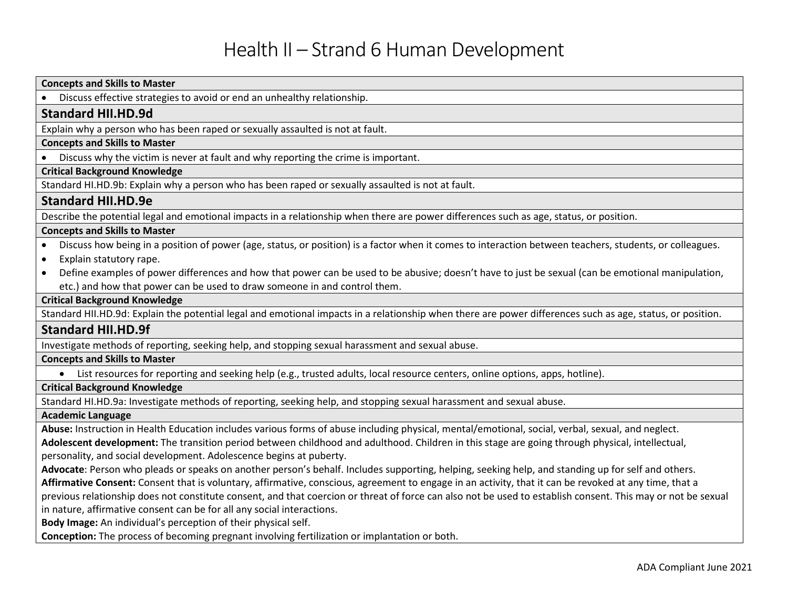| Discuss effective strategies to avoid or end an unhealthy relationship.                                                                                      |
|--------------------------------------------------------------------------------------------------------------------------------------------------------------|
|                                                                                                                                                              |
| <b>Standard HII.HD.9d</b>                                                                                                                                    |
| Explain why a person who has been raped or sexually assaulted is not at fault.                                                                               |
| <b>Concepts and Skills to Master</b>                                                                                                                         |
| Discuss why the victim is never at fault and why reporting the crime is important.                                                                           |
| <b>Critical Background Knowledge</b>                                                                                                                         |
| Standard HI.HD.9b: Explain why a person who has been raped or sexually assaulted is not at fault.                                                            |
| <b>Standard HII.HD.9e</b>                                                                                                                                    |
| Describe the potential legal and emotional impacts in a relationship when there are power differences such as age, status, or position.                      |
| <b>Concepts and Skills to Master</b>                                                                                                                         |
| Discuss how being in a position of power (age, status, or position) is a factor when it comes to interaction between teachers, students, or colleagues.      |
| Explain statutory rape.                                                                                                                                      |
| Define examples of power differences and how that power can be used to be abusive; doesn't have to just be sexual (can be emotional manipulation,            |
| etc.) and how that power can be used to draw someone in and control them.                                                                                    |
| <b>Critical Background Knowledge</b>                                                                                                                         |
| Standard HII.HD.9d: Explain the potential legal and emotional impacts in a relationship when there are power differences such as age, status, or position.   |
| <b>Standard HII.HD.9f</b>                                                                                                                                    |
| Investigate methods of reporting, seeking help, and stopping sexual harassment and sexual abuse.                                                             |
| <b>Concepts and Skills to Master</b>                                                                                                                         |
| List resources for reporting and seeking help (e.g., trusted adults, local resource centers, online options, apps, hotline).<br>$\bullet$                    |
| <b>Critical Background Knowledge</b>                                                                                                                         |
| Standard HI.HD.9a: Investigate methods of reporting, seeking help, and stopping sexual harassment and sexual abuse.                                          |
| <b>Academic Language</b>                                                                                                                                     |
| Abuse: Instruction in Health Education includes various forms of abuse including physical, mental/emotional, social, verbal, sexual, and neglect.            |
| Adolescent development: The transition period between childhood and adulthood. Children in this stage are going through physical, intellectual,              |
| personality, and social development. Adolescence begins at puberty.                                                                                          |
| Advocate: Person who pleads or speaks on another person's behalf. Includes supporting, helping, seeking help, and standing up for self and others.           |
| Affirmative Consent: Consent that is voluntary, affirmative, conscious, agreement to engage in an activity, that it can be revoked at any time, that a       |
| previous relationship does not constitute consent, and that coercion or threat of force can also not be used to establish consent. This may or not be sexual |
| in nature, affirmative consent can be for all any social interactions.                                                                                       |
| Body Image: An individual's perception of their physical self.                                                                                               |
| Conception: The process of becoming pregnant involving fertilization or implantation or both.                                                                |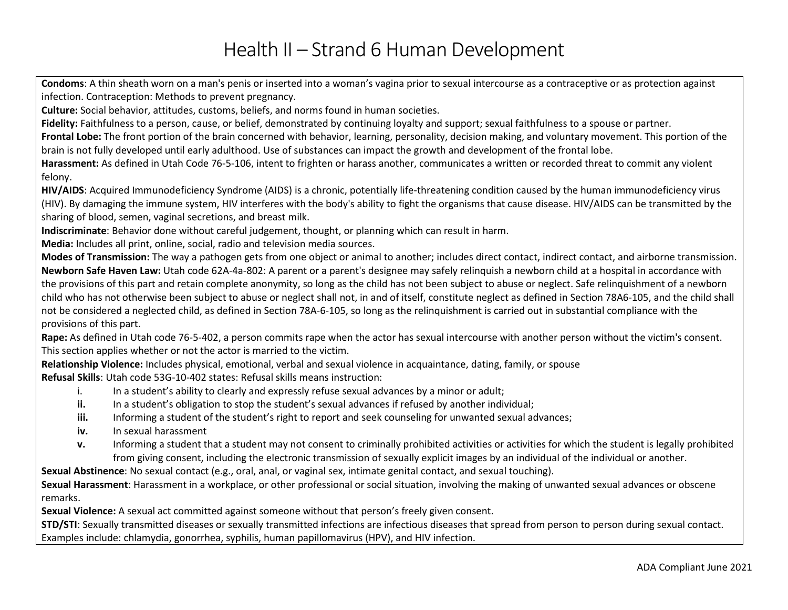**Condoms**: A thin sheath worn on a man's penis or inserted into a woman's vagina prior to sexual intercourse as a contraceptive or as protection against infection. Contraception: Methods to prevent pregnancy.

**Culture:** Social behavior, attitudes, customs, beliefs, and norms found in human societies.

Fidelity: Faithfulness to a person, cause, or belief, demonstrated by continuing loyalty and support; sexual faithfulness to a spouse or partner.

**Frontal Lobe:** The front portion of the brain concerned with behavior, learning, personality, decision making, and voluntary movement. This portion of the brain is not fully developed until early adulthood. Use of substances can impact the growth and development of the frontal lobe.

**Harassment:** As defined in Utah Code 76-5-106, intent to frighten or harass another, communicates a written or recorded threat to commit any violent felony.

**HIV/AIDS**: Acquired Immunodeficiency Syndrome (AIDS) is a chronic, potentially life-threatening condition caused by the human immunodeficiency virus (HIV). By damaging the immune system, HIV interferes with the body's ability to fight the organisms that cause disease. HIV/AIDS can be transmitted by the sharing of blood, semen, vaginal secretions, and breast milk.

**Indiscriminate**: Behavior done without careful judgement, thought, or planning which can result in harm.

**Media:** Includes all print, online, social, radio and television media sources.

**Modes of Transmission:** The way a pathogen gets from one object or animal to another; includes direct contact, indirect contact, and airborne transmission. **Newborn Safe Haven Law:** Utah code 62A-4a-802: A parent or a parent's designee may safely relinquish a newborn child at a hospital in accordance with the provisions of this part and retain complete anonymity, so long as the child has not been subject to abuse or neglect. Safe relinquishment of a newborn child who has not otherwise been subject to abuse or neglect shall not, in and of itself, constitute neglect as defined in Section 78A6-105, and the child shall not be considered a neglected child, as defined in Section 78A-6-105, so long as the relinquishment is carried out in substantial compliance with the provisions of this part.

**Rape:** As defined in Utah code 76-5-402, a person commits rape when the actor has sexual intercourse with another person without the victim's consent. This section applies whether or not the actor is married to the victim.

**Relationship Violence:** Includes physical, emotional, verbal and sexual violence in acquaintance, dating, family, or spouse **Refusal Skills**: Utah code 53G-10-402 states: Refusal skills means instruction:

- i. In a student's ability to clearly and expressly refuse sexual advances by a minor or adult;
- **ii.** In a student's obligation to stop the student's sexual advances if refused by another individual;
- **iii.** Informing a student of the student's right to report and seek counseling for unwanted sexual advances;
- **iv.** In sexual harassment
- **v.** Informing a student that a student may not consent to criminally prohibited activities or activities for which the student is legally prohibited from giving consent, including the electronic transmission of sexually explicit images by an individual of the individual or another.

**Sexual Abstinence**: No sexual contact (e.g., oral, anal, or vaginal sex, intimate genital contact, and sexual touching).

**Sexual Harassment**: Harassment in a workplace, or other professional or social situation, involving the making of unwanted sexual advances or obscene remarks.

**Sexual Violence:** A sexual act committed against someone without that person's freely given consent.

**STD/STI**: Sexually transmitted diseases or sexually transmitted infections are infectious diseases that spread from person to person during sexual contact. Examples include: chlamydia, gonorrhea, syphilis, human papillomavirus (HPV), and HIV infection.